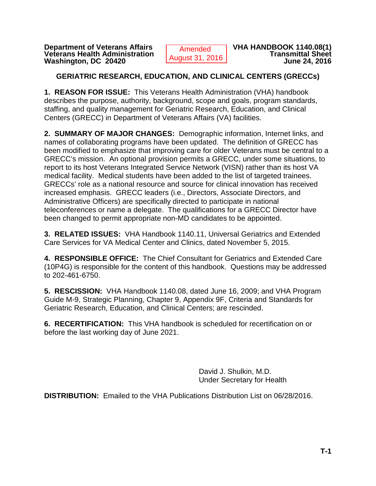**Department of Veterans Affairs Consumer Amended VHA HANDBOOK 1140.08(1)**<br>Veterans Health Administration **Consumed 24, 2010 Consumer Amended** Veterans Health Administration **Manufacture 19 and Transmittal Sheet**<br>Washington, DC 20420 **Washington, DC 20420** 

 Amended August 31, 2016

## **GERIATRIC RESEARCH, EDUCATION, AND CLINICAL CENTERS (GRECCs)**

**1. REASON FOR ISSUE:** This Veterans Health Administration (VHA) handbook describes the purpose, authority, background, scope and goals, program standards, staffing, and quality management for Geriatric Research, Education, and Clinical Centers (GRECC) in Department of Veterans Affairs (VA) facilities.

**2. SUMMARY OF MAJOR CHANGES:** Demographic information, Internet links, and names of collaborating programs have been updated. The definition of GRECC has been modified to emphasize that improving care for older Veterans must be central to a GRECC's mission. An optional provision permits a GRECC, under some situations, to report to its host Veterans Integrated Service Network (VISN) rather than its host VA medical facility. Medical students have been added to the list of targeted trainees. GRECCs' role as a national resource and source for clinical innovation has received increased emphasis. GRECC leaders (i.e., Directors, Associate Directors, and Administrative Officers) are specifically directed to participate in national teleconferences or name a delegate. The qualifications for a GRECC Director have been changed to permit appropriate non-MD candidates to be appointed.

**3. RELATED ISSUES:** VHA Handbook 1140.11, Universal Geriatrics and Extended Care Services for VA Medical Center and Clinics, dated November 5, 2015.

**4. RESPONSIBLE OFFICE:** The Chief Consultant for Geriatrics and Extended Care (10P4G) is responsible for the content of this handbook. Questions may be addressed to 202-461-6750.

**5. RESCISSION:** VHA Handbook 1140.08, dated June 16, 2009; and VHA Program Guide M-9, Strategic Planning, Chapter 9, Appendix 9F, Criteria and Standards for Geriatric Research, Education, and Clinical Centers; are rescinded.

**6. RECERTIFICATION:** This VHA handbook is scheduled for recertification on or before the last working day of June 2021.

> David J. Shulkin, M.D. Under Secretary for Health

**DISTRIBUTION:** Emailed to the VHA Publications Distribution List on 06/28/2016.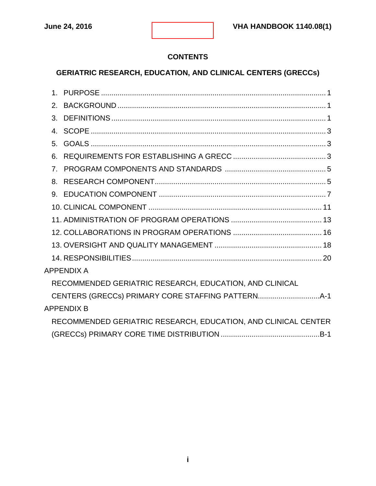## **CONTENTS**

# **GERIATRIC RESEARCH, EDUCATION, AND CLINICAL CENTERS (GRECCs)**

| $1_{-}$                                                        |
|----------------------------------------------------------------|
| $\mathcal{P}$                                                  |
| 3.                                                             |
| $4_{\cdot}$                                                    |
| 5 <sub>1</sub>                                                 |
| 6.                                                             |
| $\overline{7}$                                                 |
| 8.                                                             |
|                                                                |
|                                                                |
|                                                                |
|                                                                |
|                                                                |
|                                                                |
| <b>APPENDIX A</b>                                              |
| RECOMMENDED GERIATRIC RESEARCH, EDUCATION, AND CLINICAL        |
|                                                                |
| <b>APPENDIX B</b>                                              |
| RECOMMENDED GERIATRIC RESEARCH, EDUCATION, AND CLINICAL CENTER |
|                                                                |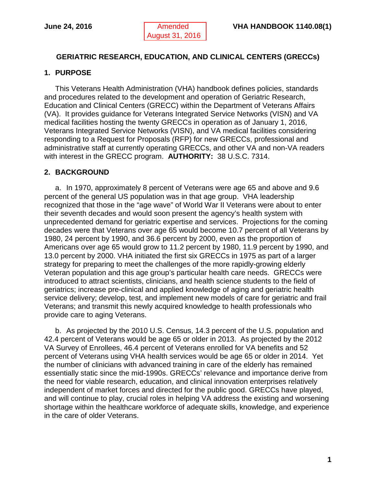## **GERIATRIC RESEARCH, EDUCATION, AND CLINICAL CENTERS (GRECCs)**

## <span id="page-2-0"></span>**1. PURPOSE**

This Veterans Health Administration (VHA) handbook defines policies, standards and procedures related to the development and operation of Geriatric Research, Education and Clinical Centers (GRECC) within the Department of Veterans Affairs (VA). It provides guidance for Veterans Integrated Service Networks (VISN) and VA medical facilities hosting the twenty GRECCs in operation as of January 1, 2016, Veterans Integrated Service Networks (VISN), and VA medical facilities considering responding to a Request for Proposals (RFP) for new GRECCs, professional and administrative staff at currently operating GRECCs, and other VA and non-VA readers with interest in the GRECC program. **AUTHORITY:** 38 U.S.C. 7314.

## <span id="page-2-1"></span>**2. BACKGROUND**

a. In 1970, approximately 8 percent of Veterans were age 65 and above and 9.6 percent of the general US population was in that age group. VHA leadership recognized that those in the "age wave" of World War II Veterans were about to enter their seventh decades and would soon present the agency's health system with unprecedented demand for geriatric expertise and services. Projections for the coming decades were that Veterans over age 65 would become 10.7 percent of all Veterans by 1980, 24 percent by 1990, and 36.6 percent by 2000, even as the proportion of Americans over age 65 would grow to 11.2 percent by 1980, 11.9 percent by 1990, and 13.0 percent by 2000. VHA initiated the first six GRECCs in 1975 as part of a larger strategy for preparing to meet the challenges of the more rapidly-growing elderly Veteran population and this age group's particular health care needs. GRECCs were introduced to attract scientists, clinicians, and health science students to the field of geriatrics; increase pre-clinical and applied knowledge of aging and geriatric health service delivery; develop, test, and implement new models of care for geriatric and frail Veterans; and transmit this newly acquired knowledge to health professionals who provide care to aging Veterans.

b. As projected by the 2010 U.S. Census, 14.3 percent of the U.S. population and 42.4 percent of Veterans would be age 65 or older in 2013. As projected by the 2012 VA Survey of Enrollees, 46.4 percent of Veterans enrolled for VA benefits and 52 percent of Veterans using VHA health services would be age 65 or older in 2014. Yet the number of clinicians with advanced training in care of the elderly has remained essentially static since the mid-1990s. GRECCs' relevance and importance derive from the need for viable research, education, and clinical innovation enterprises relatively independent of market forces and directed for the public good. GRECCs have played, and will continue to play, crucial roles in helping VA address the existing and worsening shortage within the healthcare workforce of adequate skills, knowledge, and experience in the care of older Veterans.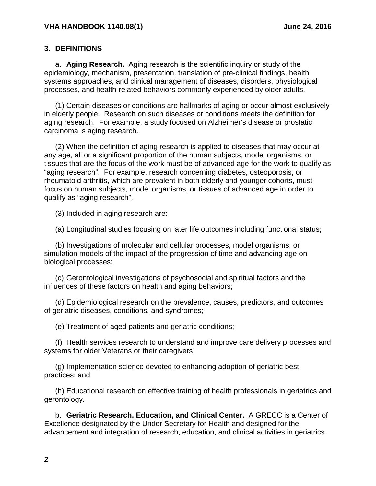#### <span id="page-3-0"></span>**3. DEFINITIONS**

a. **Aging Research.** Aging research is the scientific inquiry or study of the epidemiology, mechanism, presentation, translation of pre-clinical findings, health systems approaches, and clinical management of diseases, disorders, physiological processes, and health-related behaviors commonly experienced by older adults.

(1) Certain diseases or conditions are hallmarks of aging or occur almost exclusively in elderly people. Research on such diseases or conditions meets the definition for aging research. For example, a study focused on Alzheimer's disease or prostatic carcinoma is aging research.

(2) When the definition of aging research is applied to diseases that may occur at any age, all or a significant proportion of the human subjects, model organisms, or tissues that are the focus of the work must be of advanced age for the work to qualify as "aging research". For example, research concerning diabetes, osteoporosis, or rheumatoid arthritis, which are prevalent in both elderly and younger cohorts, must focus on human subjects, model organisms, or tissues of advanced age in order to qualify as "aging research".

(3) Included in aging research are:

(a) Longitudinal studies focusing on later life outcomes including functional status;

(b) Investigations of molecular and cellular processes, model organisms, or simulation models of the impact of the progression of time and advancing age on biological processes;

(c) Gerontological investigations of psychosocial and spiritual factors and the influences of these factors on health and aging behaviors;

(d) Epidemiological research on the prevalence, causes, predictors, and outcomes of geriatric diseases, conditions, and syndromes;

(e) Treatment of aged patients and geriatric conditions;

(f) Health services research to understand and improve care delivery processes and systems for older Veterans or their caregivers;

(g) Implementation science devoted to enhancing adoption of geriatric best practices; and

(h) Educational research on effective training of health professionals in geriatrics and gerontology.

b. **Geriatric Research, Education, and Clinical Center.** A GRECC is a Center of Excellence designated by the Under Secretary for Health and designed for the advancement and integration of research, education, and clinical activities in geriatrics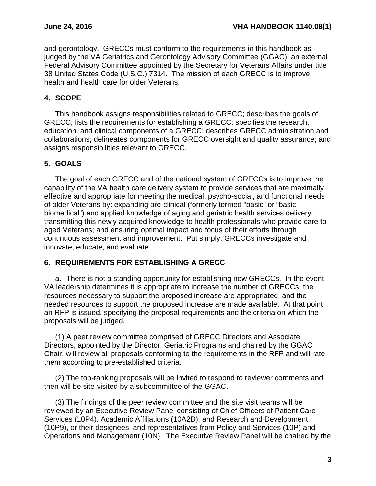and gerontology. GRECCs must conform to the requirements in this handbook as judged by the VA Geriatrics and Gerontology Advisory Committee (GGAC), an external Federal Advisory Committee appointed by the Secretary for Veterans Affairs under title 38 United States Code (U.S.C.) 7314. The mission of each GRECC is to improve health and health care for older Veterans.

## <span id="page-4-0"></span>**4. SCOPE**

This handbook assigns responsibilities related to GRECC; describes the goals of GRECC; lists the requirements for establishing a GRECC; specifies the research, education, and clinical components of a GRECC; describes GRECC administration and collaborations; delineates components for GRECC oversight and quality assurance; and assigns responsibilities relevant to GRECC.

## <span id="page-4-1"></span>**5. GOALS**

The goal of each GRECC and of the national system of GRECCs is to improve the capability of the VA health care delivery system to provide services that are maximally effective and appropriate for meeting the medical, psycho-social, and functional needs of older Veterans by: expanding pre-clinical (formerly termed "basic" or "basic biomedical") and applied knowledge of aging and geriatric health services delivery; transmitting this newly acquired knowledge to health professionals who provide care to aged Veterans; and ensuring optimal impact and focus of their efforts through continuous assessment and improvement. Put simply, GRECCs investigate and innovate, educate, and evaluate.

#### <span id="page-4-2"></span>**6. REQUIREMENTS FOR ESTABLISHING A GRECC**

a. There is not a standing opportunity for establishing new GRECCs. In the event VA leadership determines it is appropriate to increase the number of GRECCs, the resources necessary to support the proposed increase are appropriated, and the needed resources to support the proposed increase are made available. At that point an RFP is issued, specifying the proposal requirements and the criteria on which the proposals will be judged.

(1) A peer review committee comprised of GRECC Directors and Associate Directors, appointed by the Director, Geriatric Programs and chaired by the GGAC Chair, will review all proposals conforming to the requirements in the RFP and will rate them according to pre-established criteria.

(2) The top-ranking proposals will be invited to respond to reviewer comments and then will be site-visited by a subcommittee of the GGAC.

(3) The findings of the peer review committee and the site visit teams will be reviewed by an Executive Review Panel consisting of Chief Officers of Patient Care Services (10P4), Academic Affiliations (10A2D), and Research and Development (10P9), or their designees, and representatives from Policy and Services (10P) and Operations and Management (10N). The Executive Review Panel will be chaired by the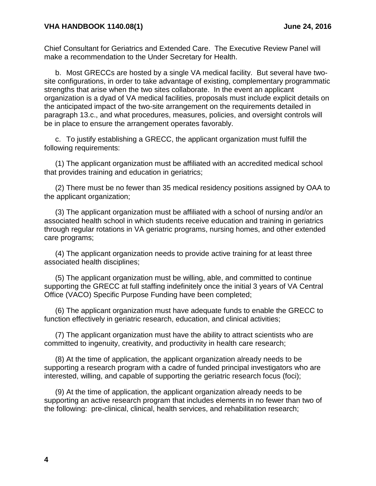Chief Consultant for Geriatrics and Extended Care. The Executive Review Panel will make a recommendation to the Under Secretary for Health.

b. Most GRECCs are hosted by a single VA medical facility. But several have twosite configurations, in order to take advantage of existing, complementary programmatic strengths that arise when the two sites collaborate. In the event an applicant organization is a dyad of VA medical facilities, proposals must include explicit details on the anticipated impact of the two-site arrangement on the requirements detailed in paragraph 13.c., and what procedures, measures, policies, and oversight controls will be in place to ensure the arrangement operates favorably.

c. To justify establishing a GRECC, the applicant organization must fulfill the following requirements:

(1) The applicant organization must be affiliated with an accredited medical school that provides training and education in geriatrics;

(2) There must be no fewer than 35 medical residency positions assigned by OAA to the applicant organization;

(3) The applicant organization must be affiliated with a school of nursing and/or an associated health school in which students receive education and training in geriatrics through regular rotations in VA geriatric programs, nursing homes, and other extended care programs;

(4) The applicant organization needs to provide active training for at least three associated health disciplines;

(5) The applicant organization must be willing, able, and committed to continue supporting the GRECC at full staffing indefinitely once the initial 3 years of VA Central Office (VACO) Specific Purpose Funding have been completed;

(6) The applicant organization must have adequate funds to enable the GRECC to function effectively in geriatric research, education, and clinical activities;

(7) The applicant organization must have the ability to attract scientists who are committed to ingenuity, creativity, and productivity in health care research;

(8) At the time of application, the applicant organization already needs to be supporting a research program with a cadre of funded principal investigators who are interested, willing, and capable of supporting the geriatric research focus (foci);

(9) At the time of application, the applicant organization already needs to be supporting an active research program that includes elements in no fewer than two of the following: pre-clinical, clinical, health services, and rehabilitation research;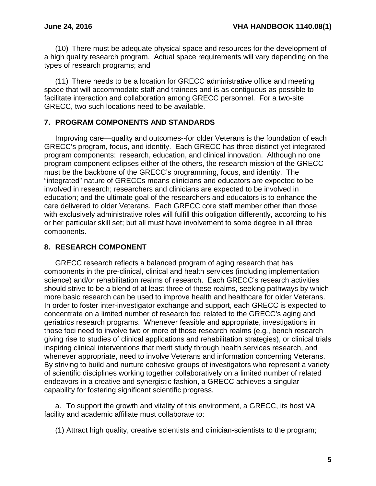(10) There must be adequate physical space and resources for the development of a high quality research program. Actual space requirements will vary depending on the types of research programs; and

(11) There needs to be a location for GRECC administrative office and meeting space that will accommodate staff and trainees and is as contiguous as possible to facilitate interaction and collaboration among GRECC personnel. For a two-site GRECC, two such locations need to be available.

### **7. PROGRAM COMPONENTS AND STANDARDS**

Improving care—quality and outcomes--for older Veterans is the foundation of each GRECC's program, focus, and identity. Each GRECC has three distinct yet integrated program components: research, education, and clinical innovation. Although no one program component eclipses either of the others, the research mission of the GRECC must be the backbone of the GRECC's programming, focus, and identity. The "integrated" nature of GRECCs means clinicians and educators are expected to be involved in research; researchers and clinicians are expected to be involved in education; and the ultimate goal of the researchers and educators is to enhance the care delivered to older Veterans. Each GRECC core staff member other than those with exclusively administrative roles will fulfill this obligation differently, according to his or her particular skill set; but all must have involvement to some degree in all three components.

## <span id="page-6-0"></span>**8. RESEARCH COMPONENT**

GRECC research reflects a balanced program of aging research that has components in the pre-clinical, clinical and health services (including implementation science) and/or rehabilitation realms of research. Each GRECC's research activities should strive to be a blend of at least three of these realms, seeking pathways by which more basic research can be used to improve health and healthcare for older Veterans. In order to foster inter-investigator exchange and support, each GRECC is expected to concentrate on a limited number of research foci related to the GRECC's aging and geriatrics research programs. Whenever feasible and appropriate, investigations in those foci need to involve two or more of those research realms (e.g., bench research giving rise to studies of clinical applications and rehabilitation strategies), or clinical trials inspiring clinical interventions that merit study through health services research, and whenever appropriate, need to involve Veterans and information concerning Veterans. By striving to build and nurture cohesive groups of investigators who represent a variety of scientific disciplines working together collaboratively on a limited number of related endeavors in a creative and synergistic fashion, a GRECC achieves a singular capability for fostering significant scientific progress.

a. To support the growth and vitality of this environment, a GRECC, its host VA facility and academic affiliate must collaborate to:

(1) Attract high quality, creative scientists and clinician-scientists to the program;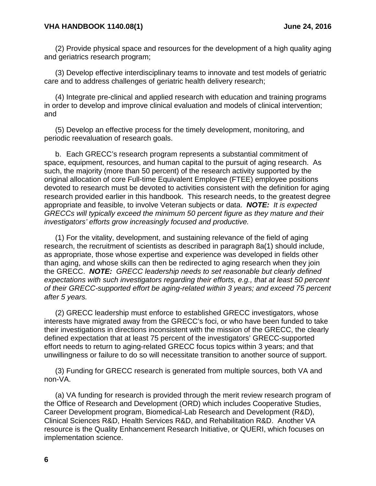#### **VHA HANDBOOK 1140.08(1) June 24, 2016**

(2) Provide physical space and resources for the development of a high quality aging and geriatrics research program;

(3) Develop effective interdisciplinary teams to innovate and test models of geriatric care and to address challenges of geriatric health delivery research;

(4) Integrate pre-clinical and applied research with education and training programs in order to develop and improve clinical evaluation and models of clinical intervention; and

(5) Develop an effective process for the timely development, monitoring, and periodic reevaluation of research goals.

b. Each GRECC's research program represents a substantial commitment of space, equipment, resources, and human capital to the pursuit of aging research. As such, the majority (more than 50 percent) of the research activity supported by the original allocation of core Full-time Equivalent Employee (FTEE) employee positions devoted to research must be devoted to activities consistent with the definition for aging research provided earlier in this handbook. This research needs, to the greatest degree appropriate and feasible, to involve Veteran subjects or data. *NOTE: It is expected GRECCs will typically exceed the minimum 50 percent figure as they mature and their investigators' efforts grow increasingly focused and productive.*

(1) For the vitality, development, and sustaining relevance of the field of aging research, the recruitment of scientists as described in paragraph 8a(1) should include, as appropriate, those whose expertise and experience was developed in fields other than aging, and whose skills can then be redirected to aging research when they join the GRECC. *NOTE: GRECC leadership needs to set reasonable but clearly defined expectations with such investigators regarding their efforts, e.g., that at least 50 percent of their GRECC-supported effort be aging-related within 3 years; and exceed 75 percent after 5 years.*

(2) GRECC leadership must enforce to established GRECC investigators, whose interests have migrated away from the GRECC's foci, or who have been funded to take their investigations in directions inconsistent with the mission of the GRECC, the clearly defined expectation that at least 75 percent of the investigators' GRECC-supported effort needs to return to aging-related GRECC focus topics within 3 years; and that unwillingness or failure to do so will necessitate transition to another source of support.

(3) Funding for GRECC research is generated from multiple sources, both VA and non-VA.

(a) VA funding for research is provided through the merit review research program of the Office of Research and Development (ORD) which includes Cooperative Studies, Career Development program, Biomedical-Lab Research and Development (R&D), Clinical Sciences R&D, Health Services R&D, and Rehabilitation R&D. Another VA resource is the Quality Enhancement Research Initiative, or QUERI, which focuses on implementation science.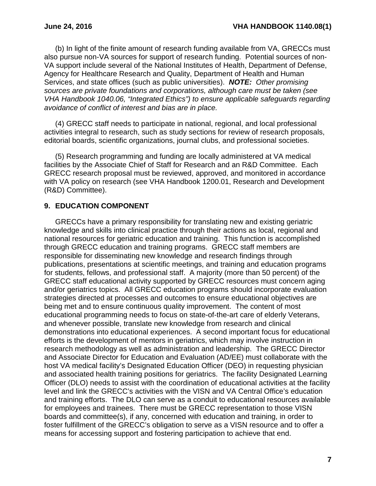(b) In light of the finite amount of research funding available from VA, GRECCs must also pursue non-VA sources for support of research funding. Potential sources of non-VA support include several of the National Institutes of Health, Department of Defense, Agency for Healthcare Research and Quality, Department of Health and Human Services, and state offices (such as public universities). *NOTE: Other promising sources are private foundations and corporations, although care must be taken (see VHA Handbook 1040.06, "Integrated Ethics") to ensure applicable safeguards regarding avoidance of conflict of interest and bias are in place.*

(4) GRECC staff needs to participate in national, regional, and local professional activities integral to research, such as study sections for review of research proposals, editorial boards, scientific organizations, journal clubs, and professional societies.

(5) Research programming and funding are locally administered at VA medical facilities by the Associate Chief of Staff for Research and an R&D Committee.Each GRECC research proposal must be reviewed, approved, and monitored in accordance with VA policy on research (see VHA Handbook 1200.01, Research and Development (R&D) Committee).

## <span id="page-8-0"></span>**9. EDUCATION COMPONENT**

GRECCs have a primary responsibility for translating new and existing geriatric knowledge and skills into clinical practice through their actions as local, regional and national resources for geriatric education and training. This function is accomplished through GRECC education and training programs. GRECC staff members are responsible for disseminating new knowledge and research findings through publications, presentations at scientific meetings, and training and education programs for students, fellows, and professional staff. A majority (more than 50 percent) of the GRECC staff educational activity supported by GRECC resources must concern aging and/or geriatrics topics. All GRECC education programs should incorporate evaluation strategies directed at processes and outcomes to ensure educational objectives are being met and to ensure continuous quality improvement. The content of most educational programming needs to focus on state-of-the-art care of elderly Veterans, and whenever possible, translate new knowledge from research and clinical demonstrations into educational experiences. A second important focus for educational efforts is the development of mentors in geriatrics, which may involve instruction in research methodology as well as administration and leadership. The GRECC Director and Associate Director for Education and Evaluation (AD/EE) must collaborate with the host VA medical facility's Designated Education Officer (DEO) in requesting physician and associated health training positions for geriatrics. The facility Designated Learning Officer (DLO) needs to assist with the coordination of educational activities at the facility level and link the GRECC's activities with the VISN and VA Central Office's education and training efforts. The DLO can serve as a conduit to educational resources available for employees and trainees. There must be GRECC representation to those VISN boards and committee(s), if any, concerned with education and training, in order to foster fulfillment of the GRECC's obligation to serve as a VISN resource and to offer a means for accessing support and fostering participation to achieve that end.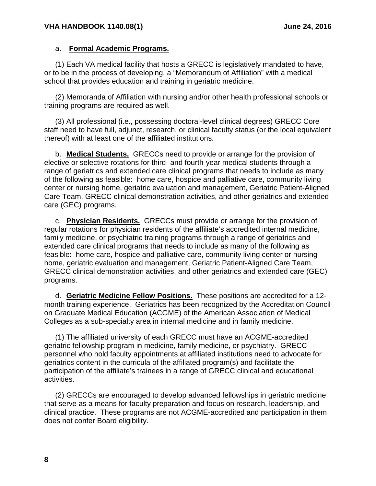#### a. **Formal Academic Programs.**

(1) Each VA medical facility that hosts a GRECC is legislatively mandated to have, or to be in the process of developing, a "Memorandum of Affiliation" with a medical school that provides education and training in geriatric medicine.

(2) Memoranda of Affiliation with nursing and/or other health professional schools or training programs are required as well.

(3) All professional (i.e., possessing doctoral-level clinical degrees) GRECC Core staff need to have full, adjunct, research, or clinical faculty status (or the local equivalent thereof) with at least one of the affiliated institutions.

b. **Medical Students.** GRECCs need to provide or arrange for the provision of elective or selective rotations for third- and fourth-year medical students through a range of geriatrics and extended care clinical programs that needs to include as many of the following as feasible: home care, hospice and palliative care, community living center or nursing home, geriatric evaluation and management, Geriatric Patient-Aligned Care Team, GRECC clinical demonstration activities, and other geriatrics and extended care (GEC) programs.

c. **Physician Residents.** GRECCs must provide or arrange for the provision of regular rotations for physician residents of the affiliate's accredited internal medicine, family medicine, or psychiatric training programs through a range of geriatrics and extended care clinical programs that needs to include as many of the following as feasible: home care, hospice and palliative care, community living center or nursing home, geriatric evaluation and management, Geriatric Patient-Aligned Care Team, GRECC clinical demonstration activities, and other geriatrics and extended care (GEC) programs.

d. **Geriatric Medicine Fellow Positions.** These positions are accredited for a 12 month training experience. Geriatrics has been recognized by the Accreditation Council on Graduate Medical Education (ACGME) of the American Association of Medical Colleges as a sub-specialty area in internal medicine and in family medicine.

(1) The affiliated university of each GRECC must have an ACGME-accredited geriatric fellowship program in medicine, family medicine, or psychiatry. GRECC personnel who hold faculty appointments at affiliated institutions need to advocate for geriatrics content in the curricula of the affiliated program(s) and facilitate the participation of the affiliate's trainees in a range of GRECC clinical and educational activities.

(2) GRECCs are encouraged to develop advanced fellowships in geriatric medicine that serve as a means for faculty preparation and focus on research, leadership, and clinical practice. These programs are not ACGME-accredited and participation in them does not confer Board eligibility.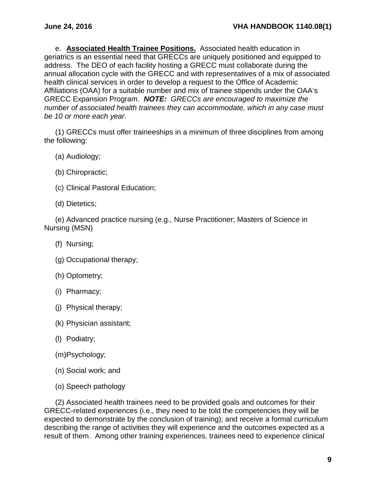e. **Associated Health Trainee Positions.** Associated health education in geriatrics is an essential need that GRECCs are uniquely positioned and equipped to address. The DEO of each facility hosting a GRECC must collaborate during the annual allocation cycle with the GRECC and with representatives of a mix of associated health clinical services in order to develop a request to the Office of Academic Affiliations (OAA) for a suitable number and mix of trainee stipends under the OAA's GRECC Expansion Program. *NOTE: GRECCs are encouraged to maximize the number of associated health trainees they can accommodate, which in any case must be 10 or more each year.*

(1) GRECCs must offer traineeships in a minimum of three disciplines from among the following:

- (a) Audiology;
- (b) Chiropractic;
- (c) Clinical Pastoral Education;
- (d) Dietetics;

(e) Advanced practice nursing (e.g., Nurse Practitioner; Masters of Science in Nursing (MSN)

- (f) Nursing;
- (g) Occupational therapy;
- (h) Optometry;
- (i) Pharmacy;
- (j) Physical therapy;
- (k) Physician assistant;
- (l) Podiatry;
- (m)Psychology;
- (n) Social work; and
- (o) Speech pathology

(2) Associated health trainees need to be provided goals and outcomes for their GRECC-related experiences (i.e., they need to be told the competencies they will be expected to demonstrate by the conclusion of training); and receive a formal curriculum describing the range of activities they will experience and the outcomes expected as a result of them. Among other training experiences, trainees need to experience clinical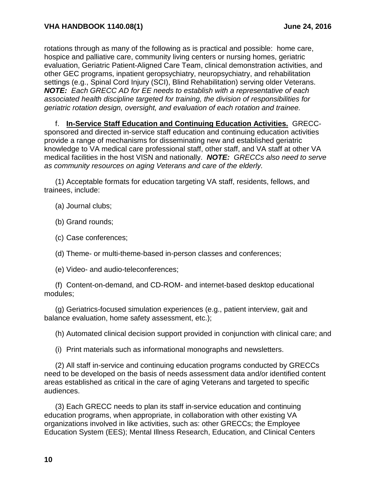rotations through as many of the following as is practical and possible: home care, hospice and palliative care, community living centers or nursing homes, geriatric evaluation, Geriatric Patient-Aligned Care Team, clinical demonstration activities, and other GEC programs, inpatient geropsychiatry, neuropsychiatry, and rehabilitation settings (e.g., Spinal Cord Injury (SCI), Blind Rehabilitation) serving older Veterans. *NOTE: Each GRECC AD for EE needs to establish with a representative of each associated health discipline targeted for training, the division of responsibilities for geriatric rotation design, oversight, and evaluation of each rotation and trainee.*

f. **In-Service Staff Education and Continuing Education Activities.** GRECCsponsored and directed in-service staff education and continuing education activities provide a range of mechanisms for disseminating new and established geriatric knowledge to VA medical care professional staff, other staff, and VA staff at other VA medical facilities in the host VISN and nationally. *NOTE: GRECCs also need to serve as community resources on aging Veterans and care of the elderly.*

(1) Acceptable formats for education targeting VA staff, residents, fellows, and trainees, include:

(a) Journal clubs;

(b) Grand rounds;

(c) Case conferences;

(d) Theme- or multi-theme-based in-person classes and conferences;

(e) Video- and audio-teleconferences;

(f) Content-on-demand, and CD-ROM- and internet-based desktop educational modules;

(g) Geriatrics-focused simulation experiences (e.g., patient interview, gait and balance evaluation, home safety assessment, etc.);

(h) Automated clinical decision support provided in conjunction with clinical care; and

(i) Print materials such as informational monographs and newsletters.

(2) All staff in-service and continuing education programs conducted by GRECCs need to be developed on the basis of needs assessment data and/or identified content areas established as critical in the care of aging Veterans and targeted to specific audiences.

(3) Each GRECC needs to plan its staff in-service education and continuing education programs, when appropriate, in collaboration with other existing VA organizations involved in like activities, such as: other GRECCs; the Employee Education System (EES); Mental Illness Research, Education, and Clinical Centers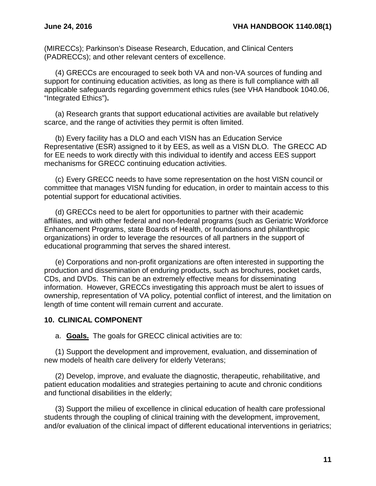(MIRECCs); Parkinson's Disease Research, Education, and Clinical Centers (PADRECCs); and other relevant centers of excellence.

(4) GRECCs are encouraged to seek both VA and non-VA sources of funding and support for continuing education activities, as long as there is full compliance with all applicable safeguards regarding government ethics rules (see VHA Handbook 1040.06, "Integrated Ethics")**.**

(a) Research grants that support educational activities are available but relatively scarce, and the range of activities they permit is often limited.

(b) Every facility has a DLO and each VISN has an Education Service Representative (ESR) assigned to it by EES, as well as a VISN DLO. The GRECC AD for EE needs to work directly with this individual to identify and access EES support mechanisms for GRECC continuing education activities.

(c) Every GRECC needs to have some representation on the host VISN council or committee that manages VISN funding for education, in order to maintain access to this potential support for educational activities.

(d) GRECCs need to be alert for opportunities to partner with their academic affiliates, and with other federal and non-federal programs (such as Geriatric Workforce Enhancement Programs, state Boards of Health, or foundations and philanthropic organizations) in order to leverage the resources of all partners in the support of educational programming that serves the shared interest.

(e) Corporations and non-profit organizations are often interested in supporting the production and dissemination of enduring products, such as brochures, pocket cards, CDs, and DVDs. This can be an extremely effective means for disseminating information. However, GRECCs investigating this approach must be alert to issues of ownership, representation of VA policy, potential conflict of interest, and the limitation on length of time content will remain current and accurate.

#### <span id="page-12-0"></span>**10. CLINICAL COMPONENT**

a. **Goals.** The goals for GRECC clinical activities are to:

(1) Support the development and improvement, evaluation, and dissemination of new models of health care delivery for elderly Veterans;

(2) Develop, improve, and evaluate the diagnostic, therapeutic, rehabilitative, and patient education modalities and strategies pertaining to acute and chronic conditions and functional disabilities in the elderly;

(3) Support the milieu of excellence in clinical education of health care professional students through the coupling of clinical training with the development, improvement, and/or evaluation of the clinical impact of different educational interventions in geriatrics;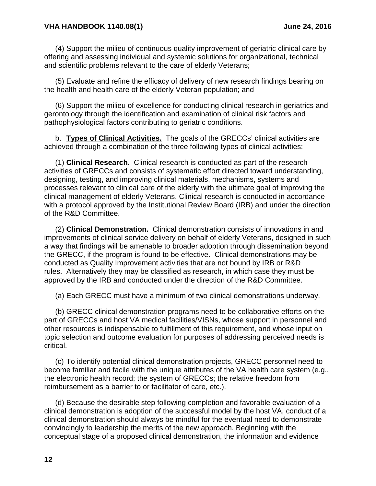(4) Support the milieu of continuous quality improvement of geriatric clinical care by offering and assessing individual and systemic solutions for organizational, technical and scientific problems relevant to the care of elderly Veterans;

(5) Evaluate and refine the efficacy of delivery of new research findings bearing on the health and health care of the elderly Veteran population; and

(6) Support the milieu of excellence for conducting clinical research in geriatrics and gerontology through the identification and examination of clinical risk factors and pathophysiological factors contributing to geriatric conditions.

b. **Types of Clinical Activities.** The goals of the GRECCs' clinical activities are achieved through a combination of the three following types of clinical activities:

(1) **Clinical Research.** Clinical research is conducted as part of the research activities of GRECCs and consists of systematic effort directed toward understanding, designing, testing, and improving clinical materials, mechanisms, systems and processes relevant to clinical care of the elderly with the ultimate goal of improving the clinical management of elderly Veterans. Clinical research is conducted in accordance with a protocol approved by the Institutional Review Board (IRB) and under the direction of the R&D Committee.

(2) **Clinical Demonstration.** Clinical demonstration consists of innovations in and improvements of clinical service delivery on behalf of elderly Veterans, designed in such a way that findings will be amenable to broader adoption through dissemination beyond the GRECC, if the program is found to be effective. Clinical demonstrations may be conducted as Quality Improvement activities that are not bound by IRB or R&D rules. Alternatively they may be classified as research, in which case they must be approved by the IRB and conducted under the direction of the R&D Committee.

(a) Each GRECC must have a minimum of two clinical demonstrations underway.

(b) GRECC clinical demonstration programs need to be collaborative efforts on the part of GRECCs and host VA medical facilities/VISNs, whose support in personnel and other resources is indispensable to fulfillment of this requirement, and whose input on topic selection and outcome evaluation for purposes of addressing perceived needs is critical.

(c) To identify potential clinical demonstration projects, GRECC personnel need to become familiar and facile with the unique attributes of the VA health care system (e.g., the electronic health record; the system of GRECCs; the relative freedom from reimbursement as a barrier to or facilitator of care, etc.).

(d) Because the desirable step following completion and favorable evaluation of a clinical demonstration is adoption of the successful model by the host VA, conduct of a clinical demonstration should always be mindful for the eventual need to demonstrate convincingly to leadership the merits of the new approach. Beginning with the conceptual stage of a proposed clinical demonstration, the information and evidence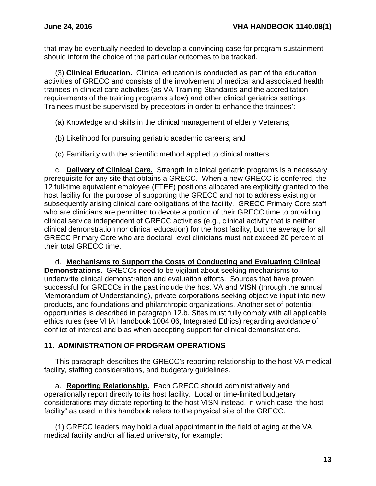that may be eventually needed to develop a convincing case for program sustainment should inform the choice of the particular outcomes to be tracked.

(3) **Clinical Education.** Clinical education is conducted as part of the education activities of GRECC and consists of the involvement of medical and associated health trainees in clinical care activities (as VA Training Standards and the accreditation requirements of the training programs allow) and other clinical geriatrics settings. Trainees must be supervised by preceptors in order to enhance the trainees':

- (a) Knowledge and skills in the clinical management of elderly Veterans;
- (b) Likelihood for pursuing geriatric academic careers; and
- (c) Familiarity with the scientific method applied to clinical matters.

c. **Delivery of Clinical Care.** Strength in clinical geriatric programs is a necessary prerequisite for any site that obtains a GRECC. When a new GRECC is conferred, the 12 full-time equivalent employee (FTEE) positions allocated are explicitly granted to the host facility for the purpose of supporting the GRECC and not to address existing or subsequently arising clinical care obligations of the facility. GRECC Primary Core staff who are clinicians are permitted to devote a portion of their GRECC time to providing clinical service independent of GRECC activities (e.g., clinical activity that is neither clinical demonstration nor clinical education) for the host facility, but the average for all GRECC Primary Core who are doctoral-level clinicians must not exceed 20 percent of their total GRECC time.

d. **Mechanisms to Support the Costs of Conducting and Evaluating Clinical Demonstrations.** GRECCs need to be vigilant about seeking mechanisms to underwrite clinical demonstration and evaluation efforts. Sources that have proven successful for GRECCs in the past include the host VA and VISN (through the annual Memorandum of Understanding), private corporations seeking objective input into new products, and foundations and philanthropic organizations. Another set of potential opportunities is described in paragraph 12.b. Sites must fully comply with all applicable ethics rules (see VHA Handbook 1004.06, Integrated Ethics) regarding avoidance of conflict of interest and bias when accepting support for clinical demonstrations.

## <span id="page-14-0"></span>**11. ADMINISTRATION OF PROGRAM OPERATIONS**

This paragraph describes the GRECC's reporting relationship to the host VA medical facility, staffing considerations, and budgetary guidelines.

a. **Reporting Relationship.** Each GRECC should administratively and operationally report directly to its host facility. Local or time-limited budgetary considerations may dictate reporting to the host VISN instead, in which case "the host facility" as used in this handbook refers to the physical site of the GRECC.

(1) GRECC leaders may hold a dual appointment in the field of aging at the VA medical facility and/or affiliated university, for example: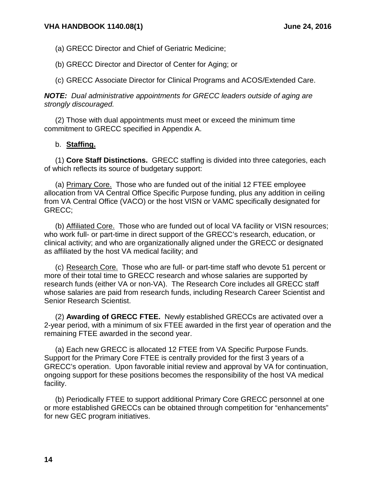- (a) GRECC Director and Chief of Geriatric Medicine;
- (b) GRECC Director and Director of Center for Aging; or

(c) GRECC Associate Director for Clinical Programs and ACOS/Extended Care.

*NOTE: Dual administrative appointments for GRECC leaders outside of aging are strongly discouraged.*

(2) Those with dual appointments must meet or exceed the minimum time commitment to GRECC specified in Appendix A.

### b. **Staffing.**

(1) **Core Staff Distinctions.** GRECC staffing is divided into three categories, each of which reflects its source of budgetary support:

(a) Primary Core. Those who are funded out of the initial 12 FTEE employee allocation from VA Central Office Specific Purpose funding, plus any addition in ceiling from VA Central Office (VACO) or the host VISN or VAMC specifically designated for GRECC;

(b) Affiliated Core. Those who are funded out of local VA facility or VISN resources; who work full- or part-time in direct support of the GRECC's research, education, or clinical activity; and who are organizationally aligned under the GRECC or designated as affiliated by the host VA medical facility; and

(c) Research Core. Those who are full- or part-time staff who devote 51 percent or more of their total time to GRECC research and whose salaries are supported by research funds (either VA or non-VA). The Research Core includes all GRECC staff whose salaries are paid from research funds, including Research Career Scientist and Senior Research Scientist.

(2) **Awarding of GRECC FTEE.** Newly established GRECCs are activated over a 2-year period, with a minimum of six FTEE awarded in the first year of operation and the remaining FTEE awarded in the second year.

(a) Each new GRECC is allocated 12 FTEE from VA Specific Purpose Funds. Support for the Primary Core FTEE is centrally provided for the first 3 years of a GRECC's operation. Upon favorable initial review and approval by VA for continuation, ongoing support for these positions becomes the responsibility of the host VA medical facility.

(b) Periodically FTEE to support additional Primary Core GRECC personnel at one or more established GRECCs can be obtained through competition for "enhancements" for new GEC program initiatives.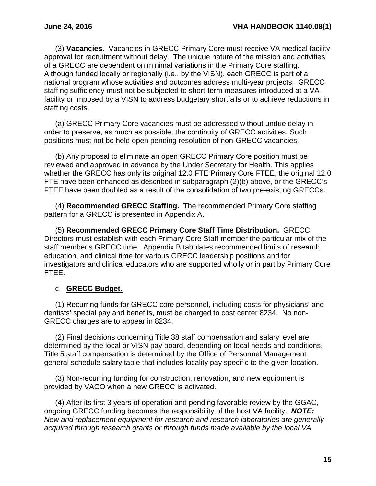(3) **Vacancies.** Vacancies in GRECC Primary Core must receive VA medical facility approval for recruitment without delay. The unique nature of the mission and activities of a GRECC are dependent on minimal variations in the Primary Core staffing. Although funded locally or regionally (i.e., by the VISN), each GRECC is part of a national program whose activities and outcomes address multi-year projects. GRECC staffing sufficiency must not be subjected to short-term measures introduced at a VA facility or imposed by a VISN to address budgetary shortfalls or to achieve reductions in staffing costs.

(a) GRECC Primary Core vacancies must be addressed without undue delay in order to preserve, as much as possible, the continuity of GRECC activities. Such positions must not be held open pending resolution of non-GRECC vacancies.

(b) Any proposal to eliminate an open GRECC Primary Core position must be reviewed and approved in advance by the Under Secretary for Health. This applies whether the GRECC has only its original 12.0 FTE Primary Core FTEE, the original 12.0 FTE have been enhanced as described in subparagraph (2)(b) above, or the GRECC's FTEE have been doubled as a result of the consolidation of two pre-existing GRECCs.

(4) **Recommended GRECC Staffing.** The recommended Primary Core staffing pattern for a GRECC is presented in Appendix A.

(5) **Recommended GRECC Primary Core Staff Time Distribution.** GRECC Directors must establish with each Primary Core Staff member the particular mix of the staff member's GRECC time. Appendix B tabulates recommended limits of research, education, and clinical time for various GRECC leadership positions and for investigators and clinical educators who are supported wholly or in part by Primary Core FTEE.

## c. **GRECC Budget.**

(1) Recurring funds for GRECC core personnel, including costs for physicians' and dentists' special pay and benefits, must be charged to cost center 8234. No non-GRECC charges are to appear in 8234.

(2) Final decisions concerning Title 38 staff compensation and salary level are determined by the local or VISN pay board, depending on local needs and conditions. Title 5 staff compensation is determined by the Office of Personnel Management general schedule salary table that includes locality pay specific to the given location.

(3) Non-recurring funding for construction, renovation, and new equipment is provided by VACO when a new GRECC is activated.

(4) After its first 3 years of operation and pending favorable review by the GGAC, ongoing GRECC funding becomes the responsibility of the host VA facility. *NOTE: New and replacement equipment for research and research laboratories are generally acquired through research grants or through funds made available by the local VA*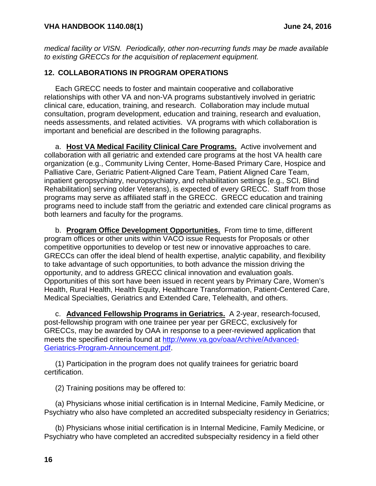*medical facility or VISN. Periodically, other non-recurring funds may be made available to existing GRECCs for the acquisition of replacement equipment.* 

## <span id="page-17-0"></span>**12. COLLABORATIONS IN PROGRAM OPERATIONS**

Each GRECC needs to foster and maintain cooperative and collaborative relationships with other VA and non-VA programs substantively involved in geriatric clinical care, education, training, and research. Collaboration may include mutual consultation, program development, education and training, research and evaluation, needs assessments, and related activities. VA programs with which collaboration is important and beneficial are described in the following paragraphs.

a. **Host VA Medical Facility Clinical Care Programs.** Active involvement and collaboration with all geriatric and extended care programs at the host VA health care organization (e.g., Community Living Center, Home-Based Primary Care, Hospice and Palliative Care, Geriatric Patient-Aligned Care Team, Patient Aligned Care Team, inpatient geropsychiatry, neuropsychiatry, and rehabilitation settings [e.g., SCI, Blind Rehabilitation] serving older Veterans), is expected of every GRECC. Staff from those programs may serve as affiliated staff in the GRECC. GRECC education and training programs need to include staff from the geriatric and extended care clinical programs as both learners and faculty for the programs.

b. **Program Office Development Opportunities.** From time to time, different program offices or other units within VACO issue Requests for Proposals or other competitive opportunities to develop or test new or innovative approaches to care. GRECCs can offer the ideal blend of health expertise, analytic capability, and flexibility to take advantage of such opportunities, to both advance the mission driving the opportunity, and to address GRECC clinical innovation and evaluation goals. Opportunities of this sort have been issued in recent years by Primary Care, Women's Health, Rural Health, Health Equity, Healthcare Transformation, Patient-Centered Care, Medical Specialties, Geriatrics and Extended Care, Telehealth, and others.

c. **Advanced Fellowship Programs in Geriatrics.** A 2-year, research-focused, post-fellowship program with one trainee per year per GRECC, exclusively for GRECCs, may be awarded by OAA in response to a peer-reviewed application that meets the specified criteria found at [http://www.va.gov/oaa/Archive/Advanced-](http://www.va.gov/oaa/Archive/Advanced-Geriatrics-Program-Announcement.pdf)[Geriatrics-Program-Announcement.pdf.](http://www.va.gov/oaa/Archive/Advanced-Geriatrics-Program-Announcement.pdf)

(1) Participation in the program does not qualify trainees for geriatric board certification.

(2) Training positions may be offered to:

(a) Physicians whose initial certification is in Internal Medicine, Family Medicine, or Psychiatry who also have completed an accredited subspecialty residency in Geriatrics;

(b) Physicians whose initial certification is in Internal Medicine, Family Medicine, or Psychiatry who have completed an accredited subspecialty residency in a field other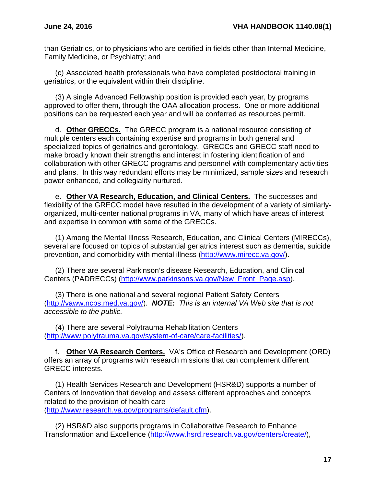than Geriatrics, or to physicians who are certified in fields other than Internal Medicine, Family Medicine, or Psychiatry; and

(c) Associated health professionals who have completed postdoctoral training in geriatrics, or the equivalent within their discipline.

(3) A single Advanced Fellowship position is provided each year, by programs approved to offer them, through the OAA allocation process. One or more additional positions can be requested each year and will be conferred as resources permit.

d. **Other GRECCs.** The GRECC program is a national resource consisting of multiple centers each containing expertise and programs in both general and specialized topics of geriatrics and gerontology. GRECCs and GRECC staff need to make broadly known their strengths and interest in fostering identification of and collaboration with other GRECC programs and personnel with complementary activities and plans. In this way redundant efforts may be minimized, sample sizes and research power enhanced, and collegiality nurtured.

e. **Other VA Research, Education, and Clinical Centers.** The successes and flexibility of the GRECC model have resulted in the development of a variety of similarlyorganized, multi-center national programs in VA, many of which have areas of interest and expertise in common with some of the GRECCs.

(1) Among the Mental Illness Research, Education, and Clinical Centers (MIRECCs), several are focused on topics of substantial geriatrics interest such as dementia, suicide prevention, and comorbidity with mental illness [\(http://www.mirecc.va.gov/\)](http://www.mirecc.va.gov/).

(2) There are several Parkinson's disease Research, Education, and Clinical Centers (PADRECCs) [\(http://www.parkinsons.va.gov/New\\_Front\\_Page.asp\)](http://www.parkinsons.va.gov/New_Front_Page.asp).

(3) There is one national and several regional Patient Safety Centers [\(http://vaww.ncps.med.va.gov/\)](http://vaww.ncps.med.va.gov/). *NOTE: This is an internal VA Web site that is not accessible to the public.*

(4) There are several Polytrauma Rehabilitation Centers [\(http://www.polytrauma.va.gov/system-of-care/care-facilities/\)](http://www.polytrauma.va.gov/system-of-care/care-facilities/).

f. **Other VA Research Centers.** VA's Office of Research and Development (ORD) offers an array of programs with research missions that can complement different GRECC interests.

(1) Health Services Research and Development (HSR&D) supports a number of Centers of Innovation that develop and assess different approaches and concepts related to the provision of health care [\(http://www.research.va.gov/programs/default.cfm\)](http://www.research.va.gov/programs/default.cfm).

(2) HSR&D also supports programs in Collaborative Research to Enhance Transformation and Excellence [\(http://www.hsrd.research.va.gov/centers/create/\)](http://www.hsrd.research.va.gov/centers/create/),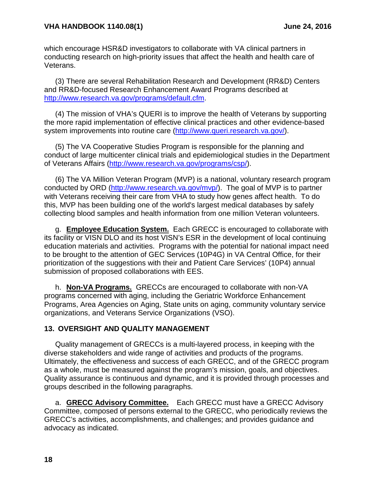which encourage HSR&D investigators to collaborate with VA clinical partners in conducting research on high-priority issues that affect the health and health care of Veterans.

(3) There are several Rehabilitation Research and Development (RR&D) Centers and RR&D-focused Research Enhancement Award Programs described at [http://www.research.va.gov/programs/default.cfm.](http://www.research.va.gov/programs/default.cfm)

(4) The mission of VHA's QUERI is to improve the health of Veterans by supporting the more rapid implementation of effective clinical practices and other evidence-based system improvements into routine care [\(http://www.queri.research.va.gov/\)](http://www.queri.research.va.gov/).

(5) The VA Cooperative Studies Program is responsible for the planning and conduct of large multicenter clinical trials and epidemiological studies in the Department of Veterans Affairs [\(http://www.research.va.gov/programs/csp/\)](http://www.research.va.gov/programs/csp/).

(6) The VA Million Veteran Program (MVP) is a national, voluntary research program conducted by ORD [\(http://www.research.va.gov/mvp/\)](http://www.research.va.gov/mvp/). The goal of MVP is to partner with Veterans receiving their care from VHA to study how genes affect health. To do this, MVP has been building one of the world's largest medical databases by safely collecting blood samples and health information from one million Veteran volunteers.

g. **Employee Education System.** Each GRECC is encouraged to collaborate with its facility or VISN DLO and its host VISN's ESR in the development of local continuing education materials and activities. Programs with the potential for national impact need to be brought to the attention of GEC Services (10P4G) in VA Central Office, for their prioritization of the suggestions with their and Patient Care Services' (10P4) annual submission of proposed collaborations with EES.

h. **Non-VA Programs.** GRECCs are encouraged to collaborate with non-VA programs concerned with aging, including the Geriatric Workforce Enhancement Programs, Area Agencies on Aging, State units on aging, community voluntary service organizations, and Veterans Service Organizations (VSO).

## <span id="page-19-0"></span>**13. OVERSIGHT AND QUALITY MANAGEMENT**

Quality management of GRECCs is a multi-layered process, in keeping with the diverse stakeholders and wide range of activities and products of the programs. Ultimately, the effectiveness and success of each GRECC, and of the GRECC program as a whole, must be measured against the program's mission, goals, and objectives. Quality assurance is continuous and dynamic, and it is provided through processes and groups described in the following paragraphs.

a. **GRECC Advisory Committee.** Each GRECC must have a GRECC Advisory Committee, composed of persons external to the GRECC, who periodically reviews the GRECC's activities, accomplishments, and challenges; and provides guidance and advocacy as indicated.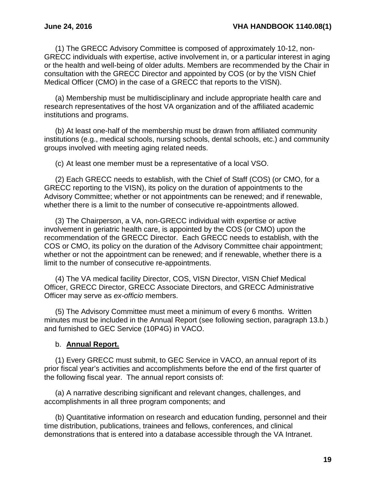(1) The GRECC Advisory Committee is composed of approximately 10-12, non-GRECC individuals with expertise, active involvement in, or a particular interest in aging or the health and well-being of older adults. Members are recommended by the Chair in consultation with the GRECC Director and appointed by COS (or by the VISN Chief Medical Officer (CMO) in the case of a GRECC that reports to the VISN).

(a) Membership must be multidisciplinary and include appropriate health care and research representatives of the host VA organization and of the affiliated academic institutions and programs.

(b) At least one-half of the membership must be drawn from affiliated community institutions (e.g., medical schools, nursing schools, dental schools, etc.) and community groups involved with meeting aging related needs.

(c) At least one member must be a representative of a local VSO.

(2) Each GRECC needs to establish, with the Chief of Staff (COS) (or CMO, for a GRECC reporting to the VISN), its policy on the duration of appointments to the Advisory Committee; whether or not appointments can be renewed; and if renewable, whether there is a limit to the number of consecutive re-appointments allowed.

(3) The Chairperson, a VA, non-GRECC individual with expertise or active involvement in geriatric health care, is appointed by the COS (or CMO) upon the recommendation of the GRECC Director. Each GRECC needs to establish, with the COS or CMO, its policy on the duration of the Advisory Committee chair appointment; whether or not the appointment can be renewed; and if renewable, whether there is a limit to the number of consecutive re-appointments.

(4) The VA medical facility Director, COS, VISN Director, VISN Chief Medical Officer, GRECC Director, GRECC Associate Directors, and GRECC Administrative Officer may serve as *ex-officio* members.

(5) The Advisory Committee must meet a minimum of every 6 months. Written minutes must be included in the Annual Report (see following section, paragraph 13.b.) and furnished to GEC Service (10P4G) in VACO.

#### b. **Annual Report.**

(1) Every GRECC must submit, to GEC Service in VACO, an annual report of its prior fiscal year's activities and accomplishments before the end of the first quarter of the following fiscal year. The annual report consists of:

(a) A narrative describing significant and relevant changes, challenges, and accomplishments in all three program components; and

(b) Quantitative information on research and education funding, personnel and their time distribution, publications, trainees and fellows, conferences, and clinical demonstrations that is entered into a database accessible through the VA Intranet.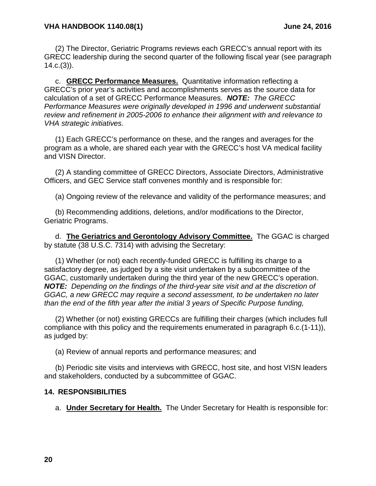(2) The Director, Geriatric Programs reviews each GRECC's annual report with its GRECC leadership during the second quarter of the following fiscal year (see paragraph  $14.c.(3)$ .

c. **GRECC Performance Measures.** Quantitative information reflecting a GRECC's prior year's activities and accomplishments serves as the source data for calculation of a set of GRECC Performance Measures. *NOTE: The GRECC Performance Measures were originally developed in 1996 and underwent substantial review and refinement in 2005-2006 to enhance their alignment with and relevance to VHA strategic initiatives.*

(1) Each GRECC's performance on these, and the ranges and averages for the program as a whole, are shared each year with the GRECC's host VA medical facility and VISN Director.

(2) A standing committee of GRECC Directors, Associate Directors, Administrative Officers, and GEC Service staff convenes monthly and is responsible for:

(a) Ongoing review of the relevance and validity of the performance measures; and

(b) Recommending additions, deletions, and/or modifications to the Director, Geriatric Programs.

d. **The Geriatrics and Gerontology Advisory Committee.** The GGAC is charged by statute (38 U.S.C. 7314) with advising the Secretary:

(1) Whether (or not) each recently-funded GRECC is fulfilling its charge to a satisfactory degree, as judged by a site visit undertaken by a subcommittee of the GGAC, customarily undertaken during the third year of the new GRECC's operation. *NOTE: Depending on the findings of the third-year site visit and at the discretion of GGAC, a new GRECC may require a second assessment, to be undertaken no later than the end of the fifth year after the initial 3 years of Specific Purpose funding,* 

(2) Whether (or not) existing GRECCs are fulfilling their charges (which includes full compliance with this policy and the requirements enumerated in paragraph 6.c.(1-11)), as judged by:

(a) Review of annual reports and performance measures; and

(b) Periodic site visits and interviews with GRECC, host site, and host VISN leaders and stakeholders, conducted by a subcommittee of GGAC.

#### <span id="page-21-0"></span>**14. RESPONSIBILITIES**

a. **Under Secretary for Health.** The Under Secretary for Health is responsible for: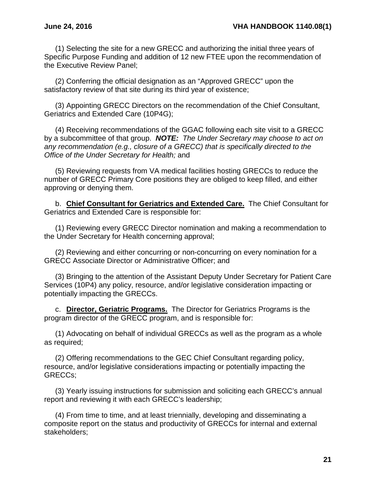(1) Selecting the site for a new GRECC and authorizing the initial three years of Specific Purpose Funding and addition of 12 new FTEE upon the recommendation of the Executive Review Panel;

(2) Conferring the official designation as an "Approved GRECC" upon the satisfactory review of that site during its third year of existence;

(3) Appointing GRECC Directors on the recommendation of the Chief Consultant, Geriatrics and Extended Care (10P4G);

(4) Receiving recommendations of the GGAC following each site visit to a GRECC by a subcommittee of that group. *NOTE: The Under Secretary may choose to act on any recommendation (e.g., closure of a GRECC) that is specifically directed to the Office of the Under Secretary for Health;* and

(5) Reviewing requests from VA medical facilities hosting GRECCs to reduce the number of GRECC Primary Core positions they are obliged to keep filled, and either approving or denying them.

b. **Chief Consultant for Geriatrics and Extended Care.** The Chief Consultant for Geriatrics and Extended Care is responsible for:

(1) Reviewing every GRECC Director nomination and making a recommendation to the Under Secretary for Health concerning approval;

(2) Reviewing and either concurring or non-concurring on every nomination for a GRECC Associate Director or Administrative Officer; and

(3) Bringing to the attention of the Assistant Deputy Under Secretary for Patient Care Services (10P4) any policy, resource, and/or legislative consideration impacting or potentially impacting the GRECCs.

c. **Director, Geriatric Programs.** The Director for Geriatrics Programs is the program director of the GRECC program, and is responsible for:

(1) Advocating on behalf of individual GRECCs as well as the program as a whole as required;

(2) Offering recommendations to the GEC Chief Consultant regarding policy, resource, and/or legislative considerations impacting or potentially impacting the GRECCs;

(3) Yearly issuing instructions for submission and soliciting each GRECC's annual report and reviewing it with each GRECC's leadership;

(4) From time to time, and at least triennially, developing and disseminating a composite report on the status and productivity of GRECCs for internal and external stakeholders;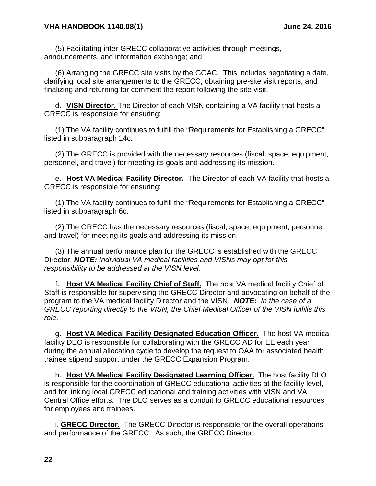(5) Facilitating inter-GRECC collaborative activities through meetings, announcements, and information exchange; and

(6) Arranging the GRECC site visits by the GGAC. This includes negotiating a date, clarifying local site arrangements to the GRECC, obtaining pre-site visit reports, and finalizing and returning for comment the report following the site visit.

d. **VISN Director.** The Director of each VISN containing a VA facility that hosts a GRECC is responsible for ensuring:

(1) The VA facility continues to fulfill the "Requirements for Establishing a GRECC" listed in subparagraph 14c.

(2) The GRECC is provided with the necessary resources (fiscal, space, equipment, personnel, and travel) for meeting its goals and addressing its mission.

e. **Host VA Medical Facility Director.** The Director of each VA facility that hosts a GRECC is responsible for ensuring:

(1) The VA facility continues to fulfill the "Requirements for Establishing a GRECC" listed in subparagraph 6c.

(2) The GRECC has the necessary resources (fiscal, space, equipment, personnel, and travel) for meeting its goals and addressing its mission.

(3) The annual performance plan for the GRECC is established with the GRECC Director. *NOTE: Individual VA medical facilities and VISNs may opt for this responsibility to be addressed at the VISN level.* 

f. **Host VA Medical Facility Chief of Staff.** The host VA medical facility Chief of Staff is responsible for supervising the GRECC Director and advocating on behalf of the program to the VA medical facility Director and the VISN. *NOTE: In the case of a GRECC reporting directly to the VISN, the Chief Medical Officer of the VISN fulfills this role.*

g. **Host VA Medical Facility Designated Education Officer.** The host VA medical facility DEO is responsible for collaborating with the GRECC AD for EE each year during the annual allocation cycle to develop the request to OAA for associated health trainee stipend support under the GRECC Expansion Program.

h. **Host VA Medical Facility Designated Learning Officer.** The host facility DLO is responsible for the coordination of GRECC educational activities at the facility level, and for linking local GRECC educational and training activities with VISN and VA Central Office efforts. The DLO serves as a conduit to GRECC educational resources for employees and trainees.

i. **GRECC Director.** The GRECC Director is responsible for the overall operations and performance of the GRECC. As such, the GRECC Director: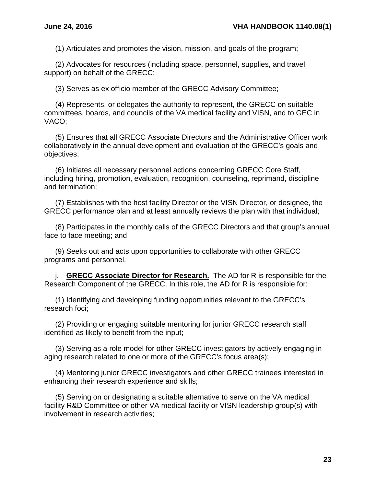(1) Articulates and promotes the vision, mission, and goals of the program;

(2) Advocates for resources (including space, personnel, supplies, and travel support) on behalf of the GRECC;

(3) Serves as ex officio member of the GRECC Advisory Committee;

(4) Represents, or delegates the authority to represent, the GRECC on suitable committees, boards, and councils of the VA medical facility and VISN, and to GEC in VACO;

(5) Ensures that all GRECC Associate Directors and the Administrative Officer work collaboratively in the annual development and evaluation of the GRECC's goals and objectives;

(6) Initiates all necessary personnel actions concerning GRECC Core Staff, including hiring, promotion, evaluation, recognition, counseling, reprimand, discipline and termination;

(7) Establishes with the host facility Director or the VISN Director, or designee, the GRECC performance plan and at least annually reviews the plan with that individual;

(8) Participates in the monthly calls of the GRECC Directors and that group's annual face to face meeting; and

(9) Seeks out and acts upon opportunities to collaborate with other GRECC programs and personnel.

j. **GRECC Associate Director for Research.** The AD for R is responsible for the Research Component of the GRECC. In this role, the AD for R is responsible for:

(1) Identifying and developing funding opportunities relevant to the GRECC's research foci;

(2) Providing or engaging suitable mentoring for junior GRECC research staff identified as likely to benefit from the input;

(3) Serving as a role model for other GRECC investigators by actively engaging in aging research related to one or more of the GRECC's focus area(s);

(4) Mentoring junior GRECC investigators and other GRECC trainees interested in enhancing their research experience and skills;

(5) Serving on or designating a suitable alternative to serve on the VA medical facility R&D Committee or other VA medical facility or VISN leadership group(s) with involvement in research activities;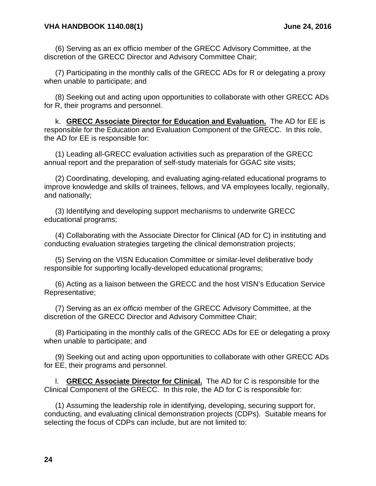#### **VHA HANDBOOK 1140.08(1) June 24, 2016**

(6) Serving as an ex officio member of the GRECC Advisory Committee, at the discretion of the GRECC Director and Advisory Committee Chair;

(7) Participating in the monthly calls of the GRECC ADs for R or delegating a proxy when unable to participate; and

(8) Seeking out and acting upon opportunities to collaborate with other GRECC ADs for R, their programs and personnel.

k. **GRECC Associate Director for Education and Evaluation.** The AD for EE is responsible for the Education and Evaluation Component of the GRECC. In this role, the AD for EE is responsible for:

(1) Leading all-GRECC evaluation activities such as preparation of the GRECC annual report and the preparation of self-study materials for GGAC site visits;

(2) Coordinating, developing, and evaluating aging-related educational programs to improve knowledge and skills of trainees, fellows, and VA employees locally, regionally, and nationally;

(3) Identifying and developing support mechanisms to underwrite GRECC educational programs;

(4) Collaborating with the Associate Director for Clinical (AD for C) in instituting and conducting evaluation strategies targeting the clinical demonstration projects;

(5) Serving on the VISN Education Committee or similar-level deliberative body responsible for supporting locally-developed educational programs;

(6) Acting as a liaison between the GRECC and the host VISN's Education Service Representative;

(7) Serving as an *ex officio* member of the GRECC Advisory Committee, at the discretion of the GRECC Director and Advisory Committee Chair;

(8) Participating in the monthly calls of the GRECC ADs for EE or delegating a proxy when unable to participate; and

(9) Seeking out and acting upon opportunities to collaborate with other GRECC ADs for EE, their programs and personnel.

l. **GRECC Associate Director for Clinical.** The AD for C is responsible for the Clinical Component of the GRECC. In this role, the AD for C is responsible for:

(1) Assuming the leadership role in identifying, developing, securing support for, conducting, and evaluating clinical demonstration projects (CDPs). Suitable means for selecting the focus of CDPs can include, but are not limited to: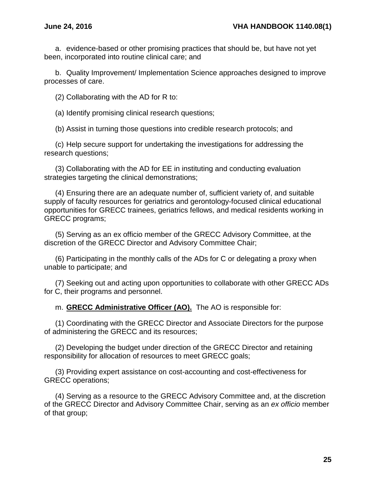a. evidence-based or other promising practices that should be, but have not yet been, incorporated into routine clinical care; and

b. Quality Improvement/ Implementation Science approaches designed to improve processes of care.

(2) Collaborating with the AD for R to:

(a) Identify promising clinical research questions;

(b) Assist in turning those questions into credible research protocols; and

(c) Help secure support for undertaking the investigations for addressing the research questions;

(3) Collaborating with the AD for EE in instituting and conducting evaluation strategies targeting the clinical demonstrations;

(4) Ensuring there are an adequate number of, sufficient variety of, and suitable supply of faculty resources for geriatrics and gerontology-focused clinical educational opportunities for GRECC trainees, geriatrics fellows, and medical residents working in GRECC programs;

(5) Serving as an ex officio member of the GRECC Advisory Committee, at the discretion of the GRECC Director and Advisory Committee Chair;

(6) Participating in the monthly calls of the ADs for C or delegating a proxy when unable to participate; and

(7) Seeking out and acting upon opportunities to collaborate with other GRECC ADs for C, their programs and personnel.

m. **GRECC Administrative Officer (AO).** The AO is responsible for:

(1) Coordinating with the GRECC Director and Associate Directors for the purpose of administering the GRECC and its resources;

(2) Developing the budget under direction of the GRECC Director and retaining responsibility for allocation of resources to meet GRECC goals;

(3) Providing expert assistance on cost-accounting and cost-effectiveness for GRECC operations;

(4) Serving as a resource to the GRECC Advisory Committee and, at the discretion of the GRECC Director and Advisory Committee Chair, serving as an *ex officio* member of that group;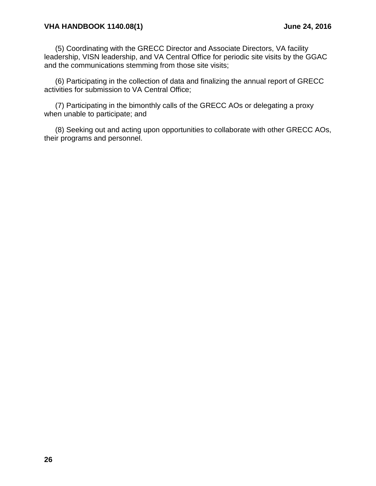#### **VHA HANDBOOK 1140.08(1) June 24, 2016**

(5) Coordinating with the GRECC Director and Associate Directors, VA facility leadership, VISN leadership, and VA Central Office for periodic site visits by the GGAC and the communications stemming from those site visits;

(6) Participating in the collection of data and finalizing the annual report of GRECC activities for submission to VA Central Office;

(7) Participating in the bimonthly calls of the GRECC AOs or delegating a proxy when unable to participate; and

(8) Seeking out and acting upon opportunities to collaborate with other GRECC AOs, their programs and personnel.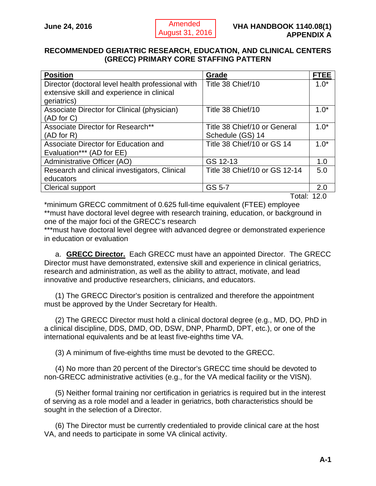#### <span id="page-28-1"></span><span id="page-28-0"></span>**RECOMMENDED GERIATRIC RESEARCH, EDUCATION, AND CLINICAL CENTERS (GRECC) PRIMARY CORE STAFFING PATTERN**

| <b>Position</b>                                   | Grade                         | <b>FTEE</b> |
|---------------------------------------------------|-------------------------------|-------------|
| Director (doctoral level health professional with | Title 38 Chief/10             | $1.0*$      |
| extensive skill and experience in clinical        |                               |             |
| geriatrics)                                       |                               |             |
| Associate Director for Clinical (physician)       | Title 38 Chief/10             | $1.0*$      |
| (AD for C)                                        |                               |             |
| Associate Director for Research**                 | Title 38 Chief/10 or General  | $1.0*$      |
| (AD for R)                                        | Schedule (GS) 14              |             |
| Associate Director for Education and              | Title 38 Chief/10 or GS 14    | $1.0*$      |
| Evaluation*** (AD for EE)                         |                               |             |
| Administrative Officer (AO)                       | GS 12-13                      | 1.0         |
| Research and clinical investigators, Clinical     | Title 38 Chief/10 or GS 12-14 | 5.0         |
| educators                                         |                               |             |
| <b>Clerical support</b>                           | GS 5-7                        | 2.0         |

Total: 12.0

\*minimum GRECC commitment of 0.625 full-time equivalent (FTEE) employee \*\*must have doctoral level degree with research training, education, or background in one of the major foci of the GRECC's research

\*\*\*must have doctoral level degree with advanced degree or demonstrated experience in education or evaluation

a. **GRECC Director.** Each GRECC must have an appointed Director. The GRECC Director must have demonstrated, extensive skill and experience in clinical geriatrics, research and administration, as well as the ability to attract, motivate, and lead innovative and productive researchers, clinicians, and educators.

(1) The GRECC Director's position is centralized and therefore the appointment must be approved by the Under Secretary for Health.

(2) The GRECC Director must hold a clinical doctoral degree (e.g., MD, DO, PhD in a clinical discipline, DDS, DMD, OD, DSW, DNP, PharmD, DPT, etc.), or one of the international equivalents and be at least five-eighths time VA.

(3) A minimum of five-eighths time must be devoted to the GRECC.

(4) No more than 20 percent of the Director's GRECC time should be devoted to non-GRECC administrative activities (e.g., for the VA medical facility or the VISN).

(5) Neither formal training nor certification in geriatrics is required but in the interest of serving as a role model and a leader in geriatrics, both characteristics should be sought in the selection of a Director.

(6) The Director must be currently credentialed to provide clinical care at the host VA, and needs to participate in some VA clinical activity.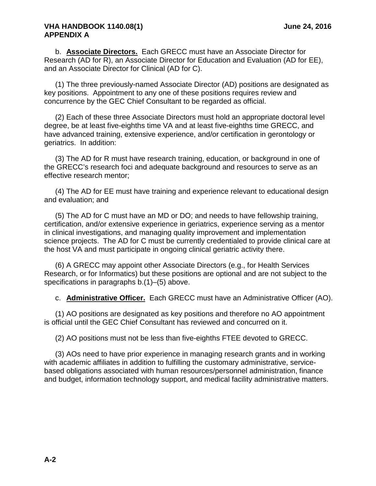#### **VHA HANDBOOK 1140.08(1) June 24, 2016 APPENDIX A**

b. **Associate Directors.** Each GRECC must have an Associate Director for Research (AD for R), an Associate Director for Education and Evaluation (AD for EE), and an Associate Director for Clinical (AD for C).

(1) The three previously-named Associate Director (AD) positions are designated as key positions. Appointment to any one of these positions requires review and concurrence by the GEC Chief Consultant to be regarded as official.

(2) Each of these three Associate Directors must hold an appropriate doctoral level degree, be at least five-eighths time VA and at least five-eighths time GRECC, and have advanced training, extensive experience, and/or certification in gerontology or geriatrics. In addition:

(3) The AD for R must have research training, education, or background in one of the GRECC's research foci and adequate background and resources to serve as an effective research mentor;

(4) The AD for EE must have training and experience relevant to educational design and evaluation; and

(5) The AD for C must have an MD or DO; and needs to have fellowship training, certification, and/or extensive experience in geriatrics, experience serving as a mentor in clinical investigations, and managing quality improvement and implementation science projects. The AD for C must be currently credentialed to provide clinical care at the host VA and must participate in ongoing clinical geriatric activity there.

(6) A GRECC may appoint other Associate Directors (e.g., for Health Services Research, or for Informatics) but these positions are optional and are not subject to the specifications in paragraphs b.(1)–(5) above.

c. **Administrative Officer.** Each GRECC must have an Administrative Officer (AO).

(1) AO positions are designated as key positions and therefore no AO appointment is official until the GEC Chief Consultant has reviewed and concurred on it.

(2) AO positions must not be less than five-eighths FTEE devoted to GRECC.

(3) AOs need to have prior experience in managing research grants and in working with academic affiliates in addition to fulfilling the customary administrative, servicebased obligations associated with human resources/personnel administration, finance and budget, information technology support, and medical facility administrative matters.